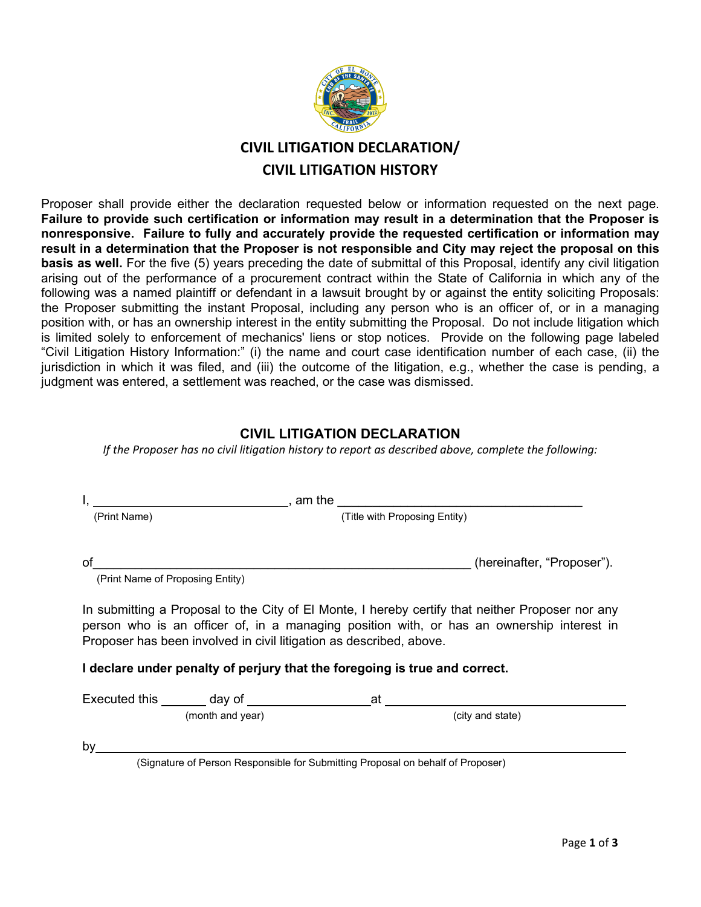

# **CIVIL LITIGATION DECLARATION/ CIVIL LITIGATION HISTORY**

Proposer shall provide either the declaration requested below or information requested on the next page. **Failure to provide such certification or information may result in a determination that the Proposer is nonresponsive. Failure to fully and accurately provide the requested certification or information may result in a determination that the Proposer is not responsible and City may reject the proposal on this basis as well.** For the five (5) years preceding the date of submittal of this Proposal, identify any civil litigation arising out of the performance of a procurement contract within the State of California in which any of the following was a named plaintiff or defendant in a lawsuit brought by or against the entity soliciting Proposals: the Proposer submitting the instant Proposal, including any person who is an officer of, or in a managing position with, or has an ownership interest in the entity submitting the Proposal. Do not include litigation which is limited solely to enforcement of mechanics' liens or stop notices. Provide on the following page labeled "Civil Litigation History Information:" (i) the name and court case identification number of each case, (ii) the jurisdiction in which it was filed, and (iii) the outcome of the litigation, e.g., whether the case is pending, a judgment was entered, a settlement was reached, or the case was dismissed.

#### **CIVIL LITIGATION DECLARATION**

*If the Proposer has no civil litigation history to report as described above, complete the following:* 

|                                  |                  |                                                                                                                                                   | <u> 1989 - Jan Stern Harry Harry Harry Harry Harry Harry Harry Harry Harry Harry Harry Harry Harry Harry Harry Har</u>                                                                        |
|----------------------------------|------------------|---------------------------------------------------------------------------------------------------------------------------------------------------|-----------------------------------------------------------------------------------------------------------------------------------------------------------------------------------------------|
| (Print Name)                     |                  | (Title with Proposing Entity)                                                                                                                     |                                                                                                                                                                                               |
|                                  |                  |                                                                                                                                                   |                                                                                                                                                                                               |
| οf                               |                  |                                                                                                                                                   | (hereinafter, "Proposer").                                                                                                                                                                    |
| (Print Name of Proposing Entity) |                  |                                                                                                                                                   |                                                                                                                                                                                               |
|                                  |                  | Proposer has been involved in civil litigation as described, above.<br>I declare under penalty of perjury that the foregoing is true and correct. | In submitting a Proposal to the City of El Monte, I hereby certify that neither Proposer nor any<br>person who is an officer of, in a managing position with, or has an ownership interest in |
|                                  |                  |                                                                                                                                                   |                                                                                                                                                                                               |
|                                  | (month and year) |                                                                                                                                                   | (city and state)                                                                                                                                                                              |
| by                               |                  |                                                                                                                                                   |                                                                                                                                                                                               |
|                                  |                  | (Signature of Person Responsible for Submitting Proposal on behalf of Proposer)                                                                   |                                                                                                                                                                                               |
|                                  |                  |                                                                                                                                                   |                                                                                                                                                                                               |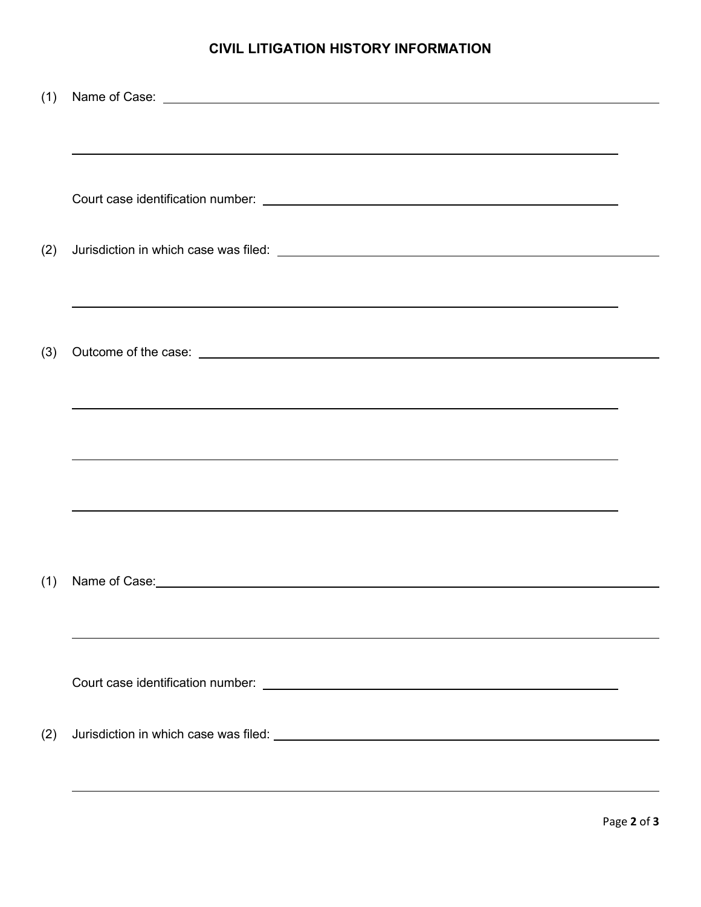### **CIVIL LITIGATION HISTORY INFORMATION**

| (1) | Name of Case: <u>with a set of the set of the set of the set of the set of the set of the set of the set of the set of the set of the set of the set of the set of the set of the set of the set of the set of the set of the se</u> |  |
|-----|--------------------------------------------------------------------------------------------------------------------------------------------------------------------------------------------------------------------------------------|--|
|     |                                                                                                                                                                                                                                      |  |
|     |                                                                                                                                                                                                                                      |  |
|     |                                                                                                                                                                                                                                      |  |
|     |                                                                                                                                                                                                                                      |  |
|     |                                                                                                                                                                                                                                      |  |
|     |                                                                                                                                                                                                                                      |  |
|     |                                                                                                                                                                                                                                      |  |
| (2) |                                                                                                                                                                                                                                      |  |
|     |                                                                                                                                                                                                                                      |  |
|     |                                                                                                                                                                                                                                      |  |
|     |                                                                                                                                                                                                                                      |  |
|     |                                                                                                                                                                                                                                      |  |
| (3) |                                                                                                                                                                                                                                      |  |
|     |                                                                                                                                                                                                                                      |  |
|     |                                                                                                                                                                                                                                      |  |
|     |                                                                                                                                                                                                                                      |  |
|     |                                                                                                                                                                                                                                      |  |
|     | ,我们也不会有什么。""我们的人,我们也不会有什么?""我们的人,我们也不会有什么?""我们的人,我们也不会有什么?""我们的人,我们也不会有什么?""我们的人                                                                                                                                                     |  |
|     |                                                                                                                                                                                                                                      |  |
|     |                                                                                                                                                                                                                                      |  |
|     |                                                                                                                                                                                                                                      |  |
|     |                                                                                                                                                                                                                                      |  |
|     |                                                                                                                                                                                                                                      |  |
| (1) | Name of Case: Name of Case: Name of Case: Name of Case: Name of Case: Name of Case: Name of Case: Name of Case                                                                                                                       |  |
|     |                                                                                                                                                                                                                                      |  |
|     |                                                                                                                                                                                                                                      |  |
|     |                                                                                                                                                                                                                                      |  |
|     |                                                                                                                                                                                                                                      |  |
|     |                                                                                                                                                                                                                                      |  |
|     |                                                                                                                                                                                                                                      |  |
|     |                                                                                                                                                                                                                                      |  |
| (2) |                                                                                                                                                                                                                                      |  |
|     |                                                                                                                                                                                                                                      |  |
|     |                                                                                                                                                                                                                                      |  |